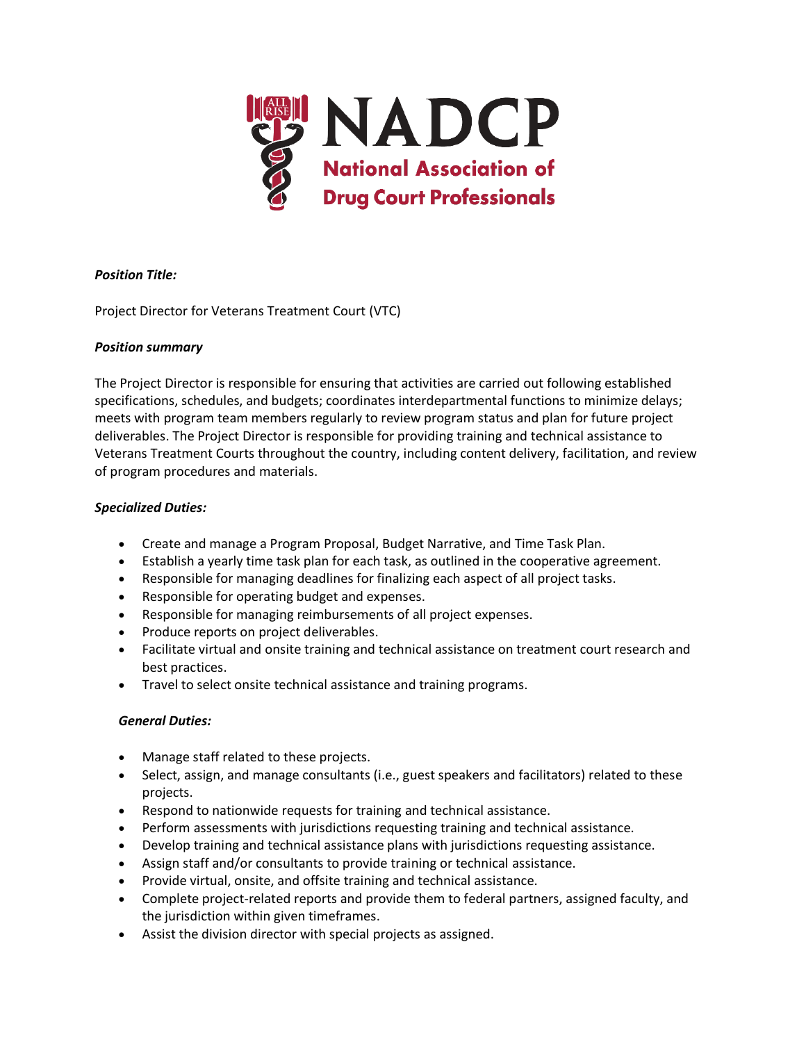

# *Position Title:*

Project Director for Veterans Treatment Court (VTC)

# *Position summary*

The Project Director is responsible for ensuring that activities are carried out following established specifications, schedules, and budgets; coordinates interdepartmental functions to minimize delays; meets with program team members regularly to review program status and plan for future project deliverables. The Project Director is responsible for providing training and technical assistance to Veterans Treatment Courts throughout the country, including content delivery, facilitation, and review of program procedures and materials.

# *Specialized Duties:*

- Create and manage a Program Proposal, Budget Narrative, and Time Task Plan.
- Establish a yearly time task plan for each task, as outlined in the cooperative agreement.
- Responsible for managing deadlines for finalizing each aspect of all project tasks.
- Responsible for operating budget and expenses.
- Responsible for managing reimbursements of all project expenses.
- Produce reports on project deliverables.
- Facilitate virtual and onsite training and technical assistance on treatment court research and best practices.
- Travel to select onsite technical assistance and training programs.

### *General Duties:*

- Manage staff related to these projects.
- Select, assign, and manage consultants (i.e., guest speakers and facilitators) related to these projects.
- Respond to nationwide requests for training and technical assistance.
- Perform assessments with jurisdictions requesting training and technical assistance.
- Develop training and technical assistance plans with jurisdictions requesting assistance.
- Assign staff and/or consultants to provide training or technical assistance.
- Provide virtual, onsite, and offsite training and technical assistance.
- Complete project-related reports and provide them to federal partners, assigned faculty, and the jurisdiction within given timeframes.
- Assist the division director with special projects as assigned.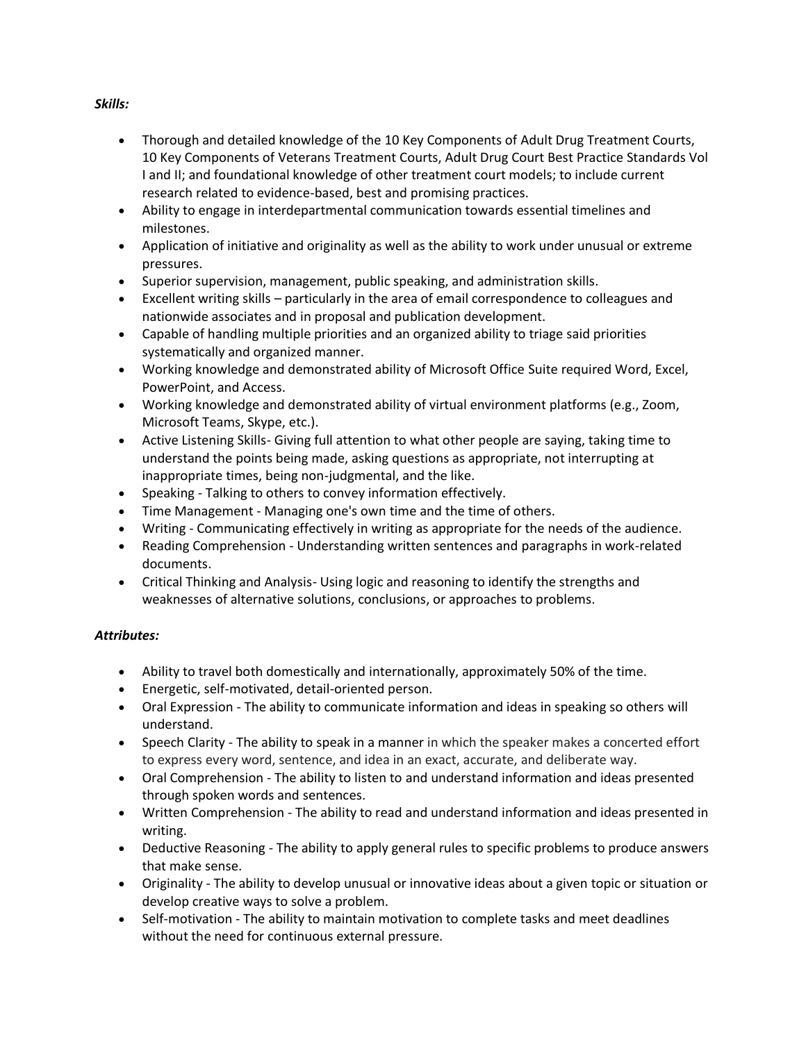## *Skills:*

- Thorough and detailed knowledge of the 10 Key Components of Adult Drug Treatment Courts, 10 Key Components of Veterans Treatment Courts, Adult Drug Court Best Practice Standards Vol I and II; and foundational knowledge of other treatment court models; to include current research related to evidence-based, best and promising practices.
- Ability to engage in interdepartmental communication towards essential timelines and milestones.
- Application of initiative and originality as well as the ability to work under unusual or extreme pressures.
- Superior supervision, management, public speaking, and administration skills.
- Excellent writing skills particularly in the area of email correspondence to colleagues and nationwide associates and in proposal and publication development.
- Capable of handling multiple priorities and an organized ability to triage said priorities systematically and organized manner.
- Working knowledge and demonstrated ability of Microsoft Office Suite required Word, Excel, PowerPoint, and Access.
- Working knowledge and demonstrated ability of virtual environment platforms (e.g., Zoom, Microsoft Teams, Skype, etc.).
- Active Listening Skills- Giving full attention to what other people are saying, taking time to understand the points being made, asking questions as appropriate, not interrupting at inappropriate times, being non-judgmental, and the like.
- Speaking Talking to others to convey information effectively.
- Time Management Managing one's own time and the time of others.
- Writing Communicating effectively in writing as appropriate for the needs of the audience.
- Reading Comprehension Understanding written sentences and paragraphs in work-related documents.
- Critical Thinking and Analysis- Using logic and reasoning to identify the strengths and weaknesses of alternative solutions, conclusions, or approaches to problems.

# *Attributes:*

- Ability to travel both domestically and internationally, approximately 50% of the time.
- Energetic, self-motivated, detail-oriented person.
- Oral Expression The ability to communicate information and ideas in speaking so others will understand.
- Speech Clarity The ability to speak in a manner in which the speaker makes a concerted effort to express every word, sentence, and idea in an exact, accurate, and deliberate way.
- Oral Comprehension The ability to listen to and understand information and ideas presented through spoken words and sentences.
- Written Comprehension The ability to read and understand information and ideas presented in writing.
- Deductive Reasoning The ability to apply general rules to specific problems to produce answers that make sense.
- Originality The ability to develop unusual or innovative ideas about a given topic or situation or develop creative ways to solve a problem.
- Self-motivation The ability to maintain motivation to complete tasks and meet deadlines without the need for continuous external pressure.